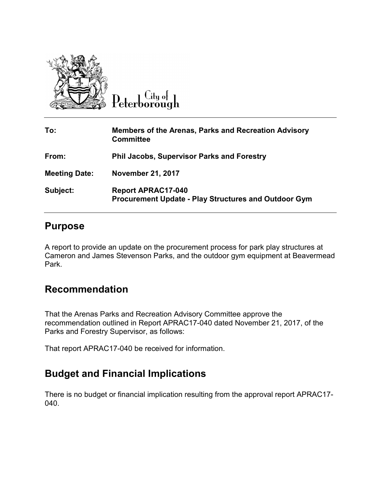

 $C<sub>ttu</sub>$ <sub>o</sub> $\vdash$ Peterborough

| To:                  | Members of the Arenas, Parks and Recreation Advisory<br><b>Committee</b>                 |
|----------------------|------------------------------------------------------------------------------------------|
| From:                | <b>Phil Jacobs, Supervisor Parks and Forestry</b>                                        |
| <b>Meeting Date:</b> | <b>November 21, 2017</b>                                                                 |
| Subject:             | <b>Report APRAC17-040</b><br><b>Procurement Update - Play Structures and Outdoor Gym</b> |

## **Purpose**

A report to provide an update on the procurement process for park play structures at Cameron and James Stevenson Parks, and the outdoor gym equipment at Beavermead Park.

## **Recommendation**

That the Arenas Parks and Recreation Advisory Committee approve the recommendation outlined in Report APRAC17-040 dated November 21, 2017, of the Parks and Forestry Supervisor, as follows:

That report APRAC17-040 be received for information.

## **Budget and Financial Implications**

There is no budget or financial implication resulting from the approval report APRAC17- 040.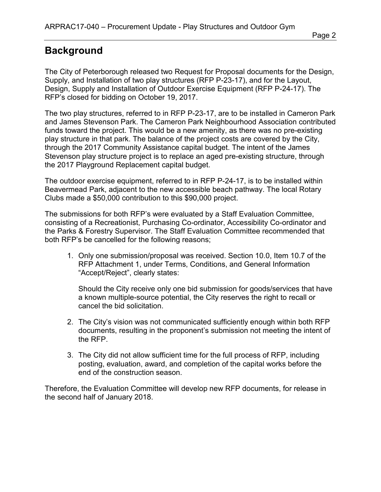## **Background**

The City of Peterborough released two Request for Proposal documents for the Design, Supply, and Installation of two play structures (RFP P-23-17), and for the Layout, Design, Supply and Installation of Outdoor Exercise Equipment (RFP P-24-17). The RFP's closed for bidding on October 19, 2017.

The two play structures, referred to in RFP P-23-17, are to be installed in Cameron Park and James Stevenson Park. The Cameron Park Neighbourhood Association contributed funds toward the project. This would be a new amenity, as there was no pre-existing play structure in that park. The balance of the project costs are covered by the City, through the 2017 Community Assistance capital budget. The intent of the James Stevenson play structure project is to replace an aged pre-existing structure, through the 2017 Playground Replacement capital budget.

The outdoor exercise equipment, referred to in RFP P-24-17, is to be installed within Beavermead Park, adjacent to the new accessible beach pathway. The local Rotary Clubs made a \$50,000 contribution to this \$90,000 project.

The submissions for both RFP's were evaluated by a Staff Evaluation Committee, consisting of a Recreationist, Purchasing Co-ordinator, Accessibility Co-ordinator and the Parks & Forestry Supervisor. The Staff Evaluation Committee recommended that both RFP's be cancelled for the following reasons;

1. Only one submission/proposal was received. Section 10.0, Item 10.7 of the RFP Attachment 1, under Terms, Conditions, and General Information "Accept/Reject", clearly states:

Should the City receive only one bid submission for goods/services that have a known multiple-source potential, the City reserves the right to recall or cancel the bid solicitation.

- 2. The City's vision was not communicated sufficiently enough within both RFP documents, resulting in the proponent's submission not meeting the intent of the RFP.
- 3. The City did not allow sufficient time for the full process of RFP, including posting, evaluation, award, and completion of the capital works before the end of the construction season.

Therefore, the Evaluation Committee will develop new RFP documents, for release in the second half of January 2018.